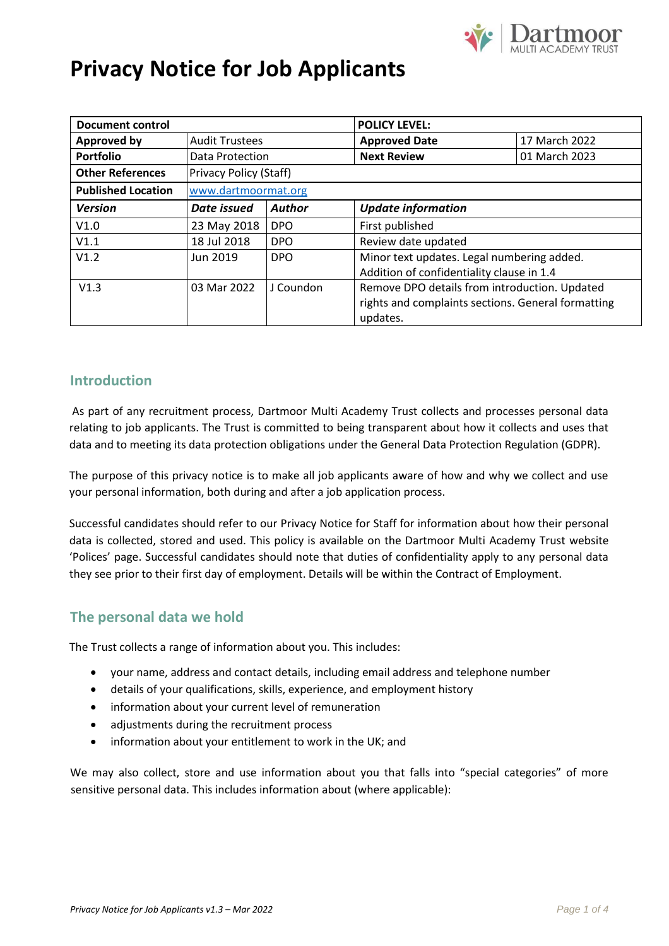

# **Privacy Notice for Job Applicants**

| <b>Document control</b>   |                        |               | <b>POLICY LEVEL:</b>                               |               |
|---------------------------|------------------------|---------------|----------------------------------------------------|---------------|
| <b>Approved by</b>        | <b>Audit Trustees</b>  |               | <b>Approved Date</b>                               | 17 March 2022 |
| <b>Portfolio</b>          | Data Protection        |               | <b>Next Review</b>                                 | 01 March 2023 |
| <b>Other References</b>   | Privacy Policy (Staff) |               |                                                    |               |
| <b>Published Location</b> | www.dartmoormat.org    |               |                                                    |               |
| <b>Version</b>            | Date issued            | <b>Author</b> | <b>Update information</b>                          |               |
| V1.0                      | 23 May 2018            | <b>DPO</b>    | First published                                    |               |
| V1.1                      | 18 Jul 2018            | <b>DPO</b>    | Review date updated                                |               |
| V1.2                      | Jun 2019               | <b>DPO</b>    | Minor text updates. Legal numbering added.         |               |
|                           |                        |               | Addition of confidentiality clause in 1.4          |               |
| V1.3                      | 03 Mar 2022            | J Coundon     | Remove DPO details from introduction. Updated      |               |
|                           |                        |               | rights and complaints sections. General formatting |               |
|                           |                        |               | updates.                                           |               |

## **Introduction**

As part of any recruitment process, Dartmoor Multi Academy Trust collects and processes personal data relating to job applicants. The Trust is committed to being transparent about how it collects and uses that data and to meeting its data protection obligations under the General Data Protection Regulation (GDPR).

The purpose of this privacy notice is to make all job applicants aware of how and why we collect and use your personal information, both during and after a job application process.

Successful candidates should refer to our [Privacy Notice for Staff](https://www.dartmoormat.org.uk/righttobeinformed.html) for information about how their personal data is collected, stored and used. This policy is available on the Dartmoor Multi Academy Trust website 'Polices' page. Successful candidates should note that duties of confidentiality apply to any personal data they see prior to their first day of employment. Details will be within the Contract of Employment.

## **The personal data we hold**

The Trust collects a range of information about you. This includes:

- your name, address and contact details, including email address and telephone number
- details of your qualifications, skills, experience, and employment history
- information about your current level of remuneration
- adjustments during the recruitment process
- information about your entitlement to work in the UK; and

We may also collect, store and use information about you that falls into "special categories" of more sensitive personal data. This includes information about (where applicable):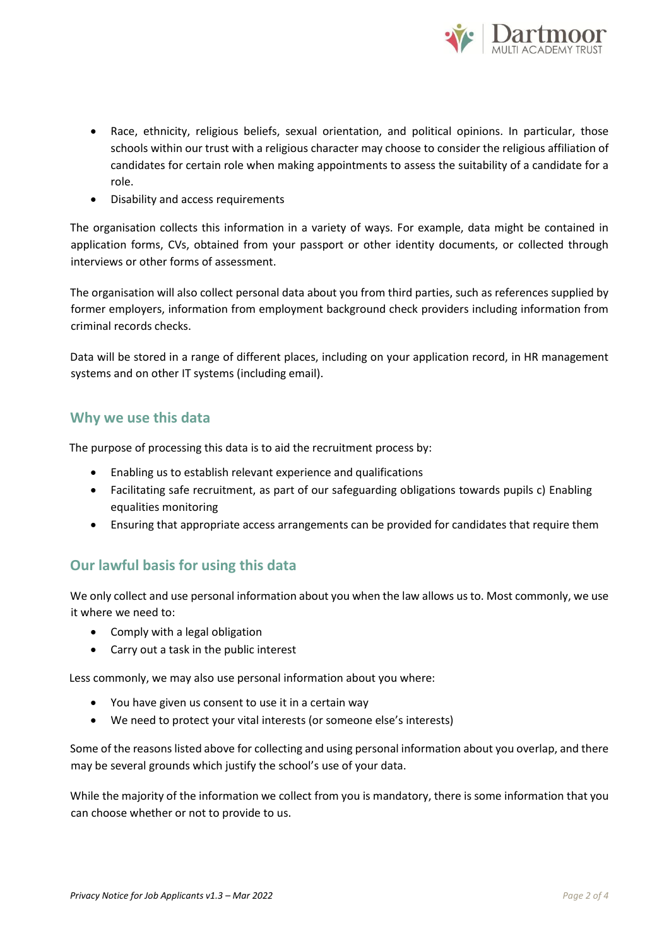

- Race, ethnicity, religious beliefs, sexual orientation, and political opinions. In particular, those schools within our trust with a religious character may choose to consider the religious affiliation of candidates for certain role when making appointments to assess the suitability of a candidate for a role.
- Disability and access requirements

The organisation collects this information in a variety of ways. For example, data might be contained in application forms, CVs, obtained from your passport or other identity documents, or collected through interviews or other forms of assessment.

The organisation will also collect personal data about you from third parties, such as references supplied by former employers, information from employment background check providers including information from criminal records checks.

Data will be stored in a range of different places, including on your application record, in HR management systems and on other IT systems (including email).

## **Why we use this data**

The purpose of processing this data is to aid the recruitment process by:

- Enabling us to establish relevant experience and qualifications
- Facilitating safe recruitment, as part of our safeguarding obligations towards pupils c) Enabling equalities monitoring
- Ensuring that appropriate access arrangements can be provided for candidates that require them

# **Our lawful basis for using this data**

We only collect and use personal information about you when the law allows us to. Most commonly, we use it where we need to:

- Comply with a legal obligation
- Carry out a task in the public interest

Less commonly, we may also use personal information about you where:

- You have given us consent to use it in a certain way
- We need to protect your vital interests (or someone else's interests)

Some of the reasons listed above for collecting and using personal information about you overlap, and there may be several grounds which justify the school's use of your data.

While the majority of the information we collect from you is mandatory, there is some information that you can choose whether or not to provide to us.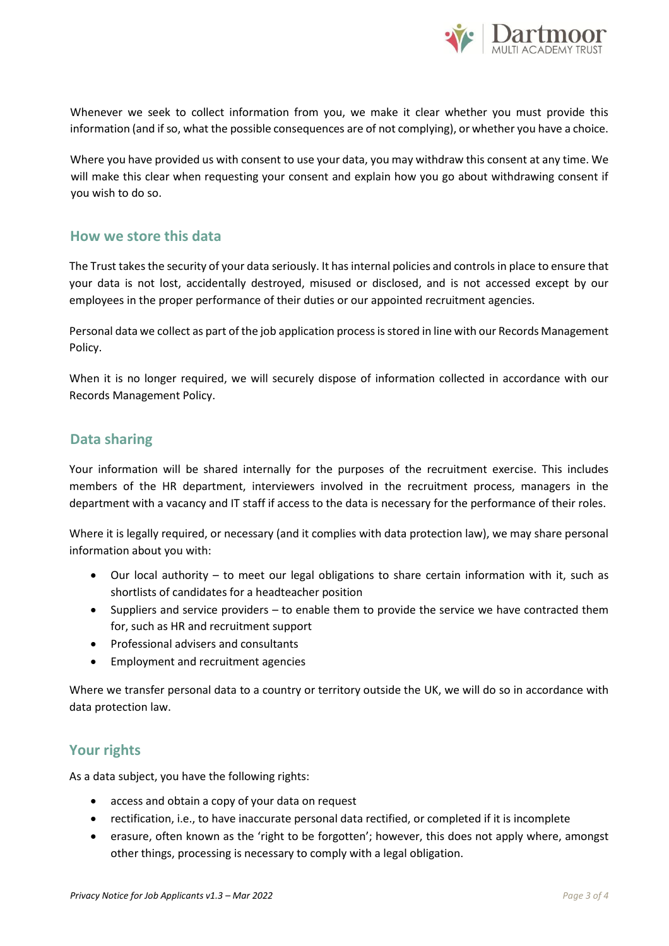

Whenever we seek to collect information from you, we make it clear whether you must provide this information (and if so, what the possible consequences are of not complying), or whether you have a choice.

Where you have provided us with consent to use your data, you may withdraw this consent at any time. We will make this clear when requesting your consent and explain how you go about withdrawing consent if you wish to do so.

### **How we store this data**

The Trust takes the security of your data seriously. It has internal policies and controls in place to ensure that your data is not lost, accidentally destroyed, misused or disclosed, and is not accessed except by our employees in the proper performance of their duties or our appointed recruitment agencies.

Personal data we collect as part of the job application process is stored in line with our Records Management Policy.

When it is no longer required, we will securely dispose of information collected in accordance with our Records Management Policy.

## **Data sharing**

Your information will be shared internally for the purposes of the recruitment exercise. This includes members of the HR department, interviewers involved in the recruitment process, managers in the department with a vacancy and IT staff if access to the data is necessary for the performance of their roles.

Where it is legally required, or necessary (and it complies with data protection law), we may share personal information about you with:

- Our local authority to meet our legal obligations to share certain information with it, such as shortlists of candidates for a headteacher position
- Suppliers and service providers to enable them to provide the service we have contracted them for, such as HR and recruitment support
- Professional advisers and consultants
- Employment and recruitment agencies

Where we transfer personal data to a country or territory outside the UK, we will do so in accordance with data protection law.

#### **Your rights**

As a data subject, you have the following rights:

- access and obtain a copy of your data on request
- rectification, i.e., to have inaccurate personal data rectified, or completed if it is incomplete
- erasure, often known as the 'right to be forgotten'; however, this does not apply where, amongst other things, processing is necessary to comply with a legal obligation.